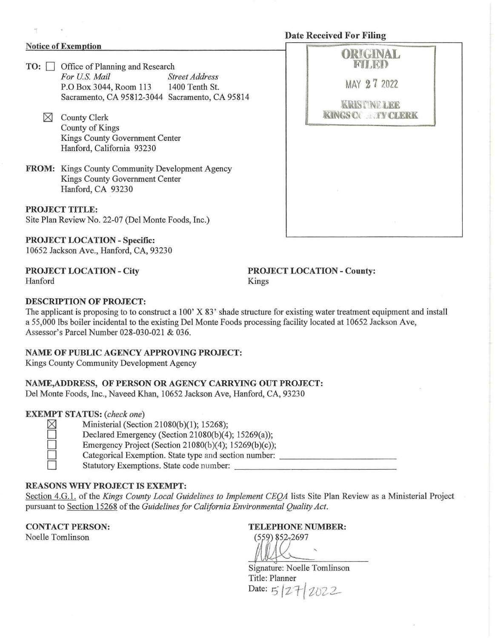# **Date Received For Filing**

#### **Notice of Exemption**

- **TO:**  $\Box$  Office of Planning and Research *For U.S. Mail Street Address* For U.S. Mail P.O Box 3044, Room 113 1400 Tenth St. Sacramento, CA 95812-3044 Sacramento, CA 95814
	- $\boxtimes$  County Clerk County of Kings Kings County Government Center Hanford, California 93230
- **FROM:** Kings County Community Development Agency Kings County Government Center Hanford, CA 93230

**PROJECT TITLE:**  Site Plan Review No. 22-07 (Del Monte Foods, Inc.)

**PROJECT LOCATION - Specific:**  10652 Jackson Ave., Hanford, CA, 93230

**PROJECT LOCATION- City**  Hanford

**PROJECT LOCATION- County:**  Kings

## **DESCRIPTION OF PROJECT:**

The applicant is proposing to to construct a 100  $\chi$  83<sup>3</sup> shade structure for existing water treatment equipment and install a 55,000 lbs boiler incidental to the existing Del Monte Foods processing facility located at 10652 Jackson Ave, Assessor's Parcel Number 028-030-021 & 036.

### **NAME OF PUBLIC AGENCY APPROVING PROJECT:**

Kings County Community Development Agency

### **NAME,ADDRESS, OF PERSON OR AGENCY CARRYING OUT PROJECT:**

Del Monte Foods, Inc., Naveed Khan, 10652 Jackson Ave, Hanford, CA, 93230

### **EXEMPT STATUS:** *(check one)*

|   | ı<br>÷<br>M.  |
|---|---------------|
|   |               |
|   |               |
| l | ٠<br>المنازلة |

Ministerial (Section 21080(b)(1); 15268); Declared Emergency (Section 21080(b)(4); 15269(a));

Emergency Project (Section 21080(b)(4);  $15269(b)(c)$ ); 0 Categorical Exemption. State type and section number: \_\_\_\_\_\_\_\_\_\_ \_

<sup>0</sup>Statutory Exemptions. State code number: \_\_\_\_\_\_\_\_\_\_\_\_\_\_ \_

### **REASONS WHY PROJECT IS EXEMPT:**

Section 4.G.l. of the *Kings County Local Guidelines to Implement CEQA* lists Site Plan Review as a Ministerial Project pursuant to Section 15268 of the *Guidelines for California Environmental Quality Act.* 

**CONTACT PERSON:** 

Noelle Tomlinson

### **TELEPHONE NUMBER:**

 $(559)$  852-2697<br> $\overline{\bigcup_{\text{Signature: Noelle Tomlinson}}}$ 

Title: Planner Date:  $5/27/2022$ 

| FILED                                     |  |
|-------------------------------------------|--|
| MAY 27 2022                               |  |
| <b>KRIST NE LEE</b><br>KINGS CO. TY CLERK |  |
|                                           |  |
|                                           |  |
|                                           |  |
|                                           |  |
| ×                                         |  |
|                                           |  |